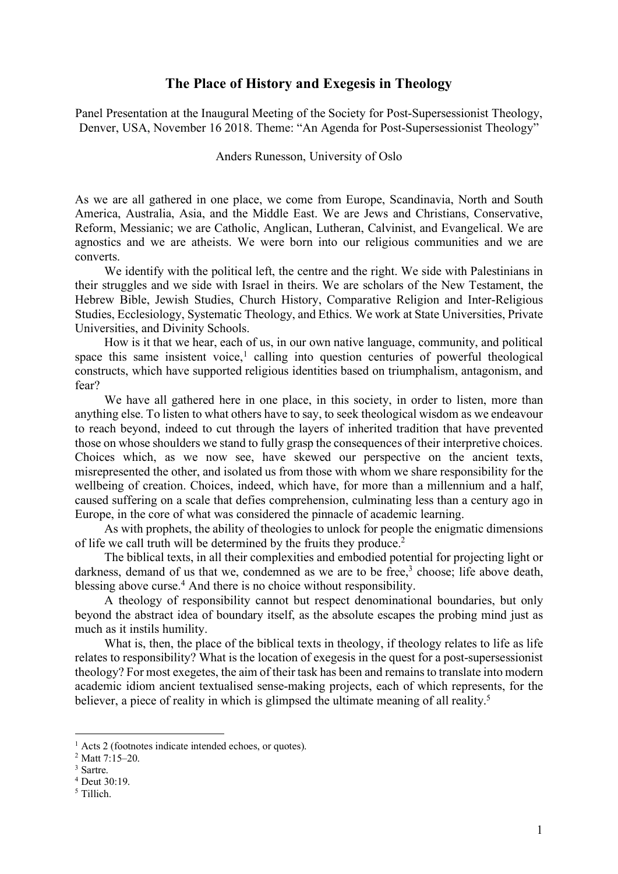## **The Place of History and Exegesis in Theology**

Panel Presentation at the Inaugural Meeting of the Society for Post-Supersessionist Theology, Denver, USA, November 16 2018. Theme: "An Agenda for Post-Supersessionist Theology"

Anders Runesson, University of Oslo

As we are all gathered in one place, we come from Europe, Scandinavia, North and South America, Australia, Asia, and the Middle East. We are Jews and Christians, Conservative, Reform, Messianic; we are Catholic, Anglican, Lutheran, Calvinist, and Evangelical. We are agnostics and we are atheists. We were born into our religious communities and we are converts.

We identify with the political left, the centre and the right. We side with Palestinians in their struggles and we side with Israel in theirs. We are scholars of the New Testament, the Hebrew Bible, Jewish Studies, Church History, Comparative Religion and Inter-Religious Studies, Ecclesiology, Systematic Theology, and Ethics. We work at State Universities, Private Universities, and Divinity Schools.

How is it that we hear, each of us, in our own native language, community, and political space this same insistent voice, <sup>1</sup> calling into question centuries of powerful theological constructs, which have supported religious identities based on triumphalism, antagonism, and fear?

We have all gathered here in one place, in this society, in order to listen, more than anything else. To listen to what others have to say, to seek theological wisdom as we endeavour to reach beyond, indeed to cut through the layers of inherited tradition that have prevented those on whose shoulders we stand to fully grasp the consequences of their interpretive choices. Choices which, as we now see, have skewed our perspective on the ancient texts, misrepresented the other, and isolated us from those with whom we share responsibility for the wellbeing of creation. Choices, indeed, which have, for more than a millennium and a half, caused suffering on a scale that defies comprehension, culminating less than a century ago in Europe, in the core of what was considered the pinnacle of academic learning.

As with prophets, the ability of theologies to unlock for people the enigmatic dimensions of life we call truth will be determined by the fruits they produce.2

The biblical texts, in all their complexities and embodied potential for projecting light or darkness, demand of us that we, condemned as we are to be free,<sup>3</sup> choose; life above death, blessing above curse. <sup>4</sup> And there is no choice without responsibility.

A theology of responsibility cannot but respect denominational boundaries, but only beyond the abstract idea of boundary itself, as the absolute escapes the probing mind just as much as it instils humility.

What is, then, the place of the biblical texts in theology, if theology relates to life as life relates to responsibility? What is the location of exegesis in the quest for a post-supersessionist theology? For most exegetes, the aim of their task has been and remainsto translate into modern academic idiom ancient textualised sense-making projects, each of which represents, for the believer, a piece of reality in which is glimpsed the ultimate meaning of all reality.<sup>5</sup>

<sup>&</sup>lt;sup>1</sup> Acts 2 (footnotes indicate intended echoes, or quotes).

<sup>2</sup> Matt 7:15–20.

<sup>3</sup> Sartre.

<sup>4</sup> Deut 30:19.

<sup>5</sup> Tillich.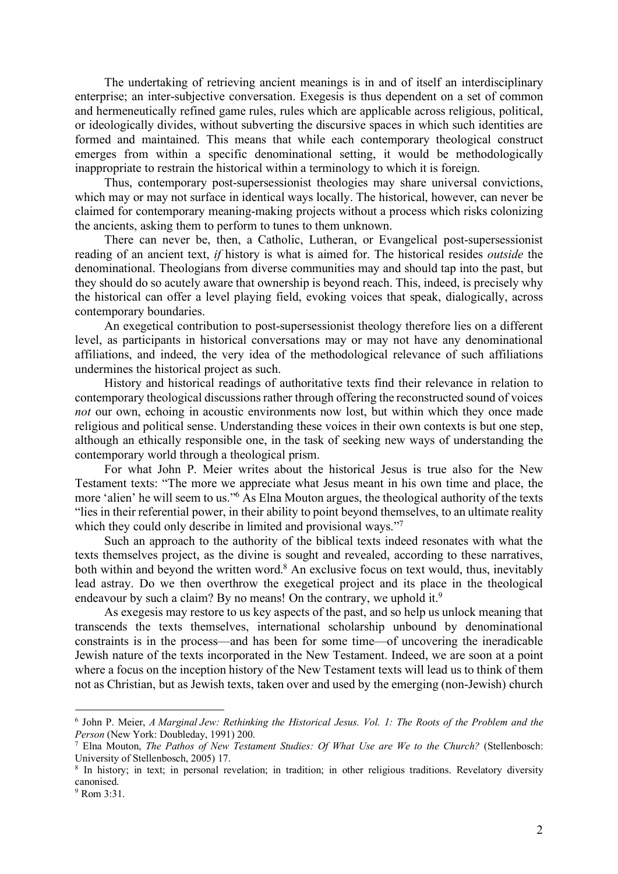The undertaking of retrieving ancient meanings is in and of itself an interdisciplinary enterprise; an inter-subjective conversation. Exegesis is thus dependent on a set of common and hermeneutically refined game rules, rules which are applicable across religious, political, or ideologically divides, without subverting the discursive spaces in which such identities are formed and maintained. This means that while each contemporary theological construct emerges from within a specific denominational setting, it would be methodologically inappropriate to restrain the historical within a terminology to which it is foreign.

Thus, contemporary post-supersessionist theologies may share universal convictions, which may or may not surface in identical ways locally. The historical, however, can never be claimed for contemporary meaning-making projects without a process which risks colonizing the ancients, asking them to perform to tunes to them unknown.

There can never be, then, a Catholic, Lutheran, or Evangelical post-supersessionist reading of an ancient text, *if* history is what is aimed for. The historical resides *outside* the denominational. Theologians from diverse communities may and should tap into the past, but they should do so acutely aware that ownership is beyond reach. This, indeed, is precisely why the historical can offer a level playing field, evoking voices that speak, dialogically, across contemporary boundaries.

An exegetical contribution to post-supersessionist theology therefore lies on a different level, as participants in historical conversations may or may not have any denominational affiliations, and indeed, the very idea of the methodological relevance of such affiliations undermines the historical project as such.

History and historical readings of authoritative texts find their relevance in relation to contemporary theological discussions rather through offering the reconstructed sound of voices *not* our own, echoing in acoustic environments now lost, but within which they once made religious and political sense. Understanding these voices in their own contexts is but one step, although an ethically responsible one, in the task of seeking new ways of understanding the contemporary world through a theological prism.

For what John P. Meier writes about the historical Jesus is true also for the New Testament texts: "The more we appreciate what Jesus meant in his own time and place, the more 'alien' he will seem to us."<sup>6</sup> As Elna Mouton argues, the theological authority of the texts "lies in their referential power, in their ability to point beyond themselves, to an ultimate reality which they could only describe in limited and provisional ways."

Such an approach to the authority of the biblical texts indeed resonates with what the texts themselves project, as the divine is sought and revealed, according to these narratives, both within and beyond the written word.<sup>8</sup> An exclusive focus on text would, thus, inevitably lead astray. Do we then overthrow the exegetical project and its place in the theological endeavour by such a claim? By no means! On the contrary, we uphold it.<sup>9</sup>

As exegesis may restore to us key aspects of the past, and so help us unlock meaning that transcends the texts themselves, international scholarship unbound by denominational constraints is in the process—and has been for some time—of uncovering the ineradicable Jewish nature of the texts incorporated in the New Testament. Indeed, we are soon at a point where a focus on the inception history of the New Testament texts will lead us to think of them not as Christian, but as Jewish texts, taken over and used by the emerging (non-Jewish) church

 <sup>6</sup> John P. Meier, *<sup>A</sup> Marginal Jew: Rethinking the Historical Jesus. Vol. 1: The Roots of the Problem and the Person* (New York: Doubleday, 1991) 200.

<sup>7</sup> Elna Mouton, *The Pathos of New Testament Studies: Of What Use are We to the Church?* (Stellenbosch: University of Stellenbosch, 2005) 17.

<sup>&</sup>lt;sup>8</sup> In history; in text; in personal revelation; in tradition; in other religious traditions. Revelatory diversity canonised.

 $9$  Rom  $3.31$ .